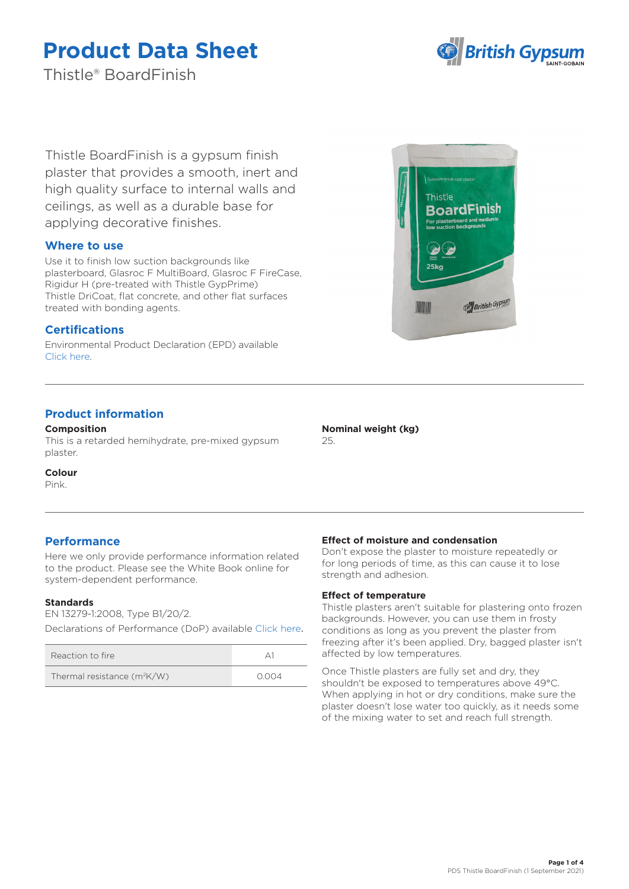

Thistle® BoardFinish

Thistle BoardFinish is a gypsum finish plaster that provides a smooth, inert and high quality surface to internal walls and ceilings, as well as a durable base for applying decorative finishes.

# **Where to use**

Use it to finish low suction backgrounds like plasterboard, Glasroc F MultiBoard, Glasroc F FireCase, Rigidur H (pre-treated with Thistle GypPrime) Thistle DriCoat, flat concrete, and other flat surfaces treated with bonding agents.

# **Certifications**

Environmental Product Declaration (EPD) available [Click here.](https://www.british-gypsum.com/EPD)

# **Product information**

**Composition**

This is a retarded hemihydrate, pre-mixed gypsum plaster.

## **Colour**

Pink.

# **Performance**

Here we only provide performance information related to the product. Please see the White Book online for system-dependent performance.

## **Standards**

EN 13279-1:2008, Type B1/20/2. Declarations of Performance (DoP) available [Click here](https://www.british-gypsum.com/DoP).

| Reaction to fire              |       |
|-------------------------------|-------|
| Thermal resistance $(m^2K/W)$ | 0.004 |



#### **Nominal weight (kg)** 25.

## **Effect of moisture and condensation**

Don't expose the plaster to moisture repeatedly or for long periods of time, as this can cause it to lose strength and adhesion.

### **Effect of temperature**

Thistle plasters aren't suitable for plastering onto frozen backgrounds. However, you can use them in frosty conditions as long as you prevent the plaster from freezing after it's been applied. Dry, bagged plaster isn't affected by low temperatures.

Once Thistle plasters are fully set and dry, they shouldn't be exposed to temperatures above 49°C. When applying in hot or dry conditions, make sure the plaster doesn't lose water too quickly, as it needs some of the mixing water to set and reach full strength.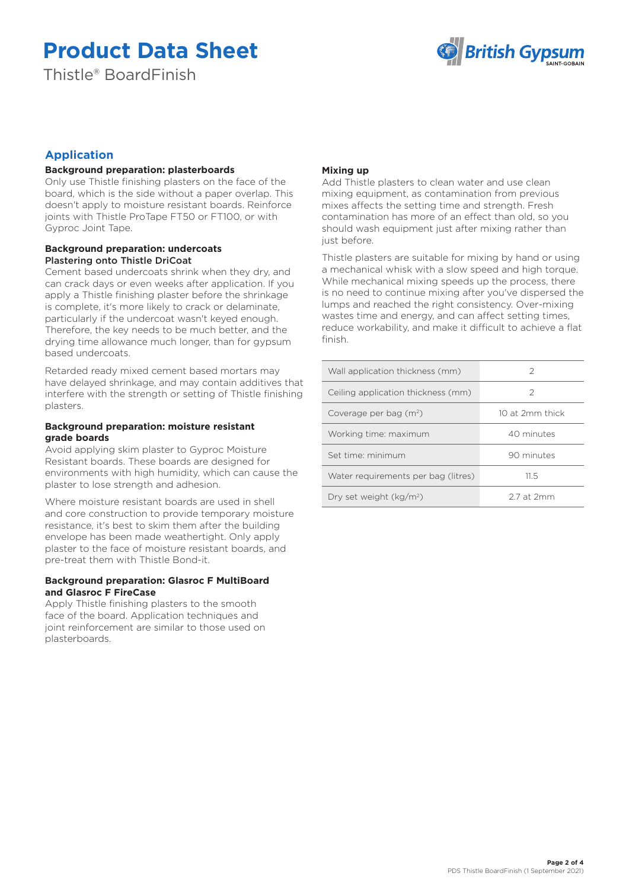Thistle® BoardFinish



# **Application**

# **Background preparation: plasterboards**

Only use Thistle finishing plasters on the face of the board, which is the side without a paper overlap. This doesn't apply to moisture resistant boards. Reinforce joints with Thistle ProTape FT50 or FT100, or with Gyproc Joint Tape.

## **Background preparation: undercoats** Plastering onto Thistle DriCoat

Cement based undercoats shrink when they dry, and can crack days or even weeks after application. If you apply a Thistle finishing plaster before the shrinkage is complete, it's more likely to crack or delaminate, particularly if the undercoat wasn't keyed enough. Therefore, the key needs to be much better, and the drying time allowance much longer, than for gypsum based undercoats.

Retarded ready mixed cement based mortars may have delayed shrinkage, and may contain additives that interfere with the strength or setting of Thistle finishing plasters.

### **Background preparation: moisture resistant grade boards**

Avoid applying skim plaster to Gyproc Moisture Resistant boards. These boards are designed for environments with high humidity, which can cause the plaster to lose strength and adhesion.

Where moisture resistant boards are used in shell and core construction to provide temporary moisture resistance, it's best to skim them after the building envelope has been made weathertight. Only apply plaster to the face of moisture resistant boards, and pre-treat them with Thistle Bond-it.

## **Background preparation: Glasroc F MultiBoard and Glasroc F FireCase**

Apply Thistle finishing plasters to the smooth face of the board. Application techniques and joint reinforcement are similar to those used on plasterboards.

# **Mixing up**

Add Thistle plasters to clean water and use clean mixing equipment, as contamination from previous mixes affects the setting time and strength. Fresh contamination has more of an effect than old, so you should wash equipment just after mixing rather than just before.

Thistle plasters are suitable for mixing by hand or using a mechanical whisk with a slow speed and high torque. While mechanical mixing speeds up the process, there is no need to continue mixing after you've dispersed the lumps and reached the right consistency. Over-mixing wastes time and energy, and can affect setting times, reduce workability, and make it difficult to achieve a flat finish.

| Wall application thickness (mm)     | 2               |
|-------------------------------------|-----------------|
| Ceiling application thickness (mm)  | 2               |
| Coverage per bag $(m^2)$            | 10 at 2mm thick |
| Working time: maximum               | 40 minutes      |
| Set time: minimum                   | 90 minutes      |
| Water requirements per bag (litres) | 11.5            |
| Dry set weight (kg/m <sup>2</sup> ) | 2.7 at 2mm      |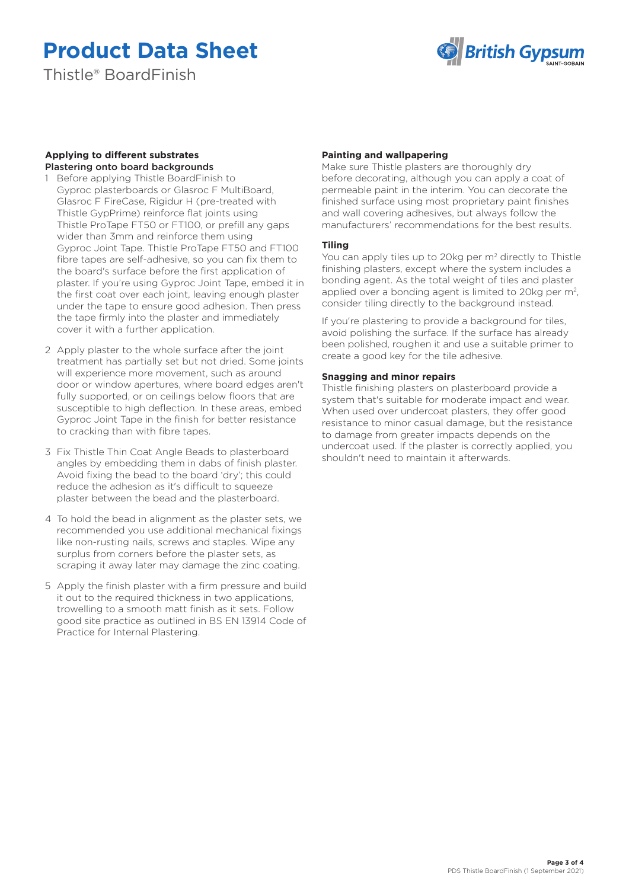Thistle® BoardFinish



## **Applying to different substrates**  Plastering onto board backgrounds

- 1 Before applying Thistle BoardFinish to Gyproc plasterboards or Glasroc F MultiBoard, Glasroc F FireCase, Rigidur H (pre-treated with Thistle GypPrime) reinforce flat joints using Thistle ProTape FT50 or FT100, or prefill any gaps wider than 3mm and reinforce them using Gyproc Joint Tape. Thistle ProTape FT50 and FT100 fibre tapes are self-adhesive, so you can fix them to the board's surface before the first application of plaster. If you're using Gyproc Joint Tape, embed it in the first coat over each joint, leaving enough plaster under the tape to ensure good adhesion. Then press the tape firmly into the plaster and immediately cover it with a further application.
- 2 Apply plaster to the whole surface after the joint treatment has partially set but not dried. Some joints will experience more movement, such as around door or window apertures, where board edges aren't fully supported, or on ceilings below floors that are susceptible to high deflection. In these areas, embed Gyproc Joint Tape in the finish for better resistance to cracking than with fibre tapes.
- 3 Fix Thistle Thin Coat Angle Beads to plasterboard angles by embedding them in dabs of finish plaster. Avoid fixing the bead to the board 'dry'; this could reduce the adhesion as it's difficult to squeeze plaster between the bead and the plasterboard.
- 4 To hold the bead in alignment as the plaster sets, we recommended you use additional mechanical fixings like non-rusting nails, screws and staples. Wipe any surplus from corners before the plaster sets, as scraping it away later may damage the zinc coating.
- 5 Apply the finish plaster with a firm pressure and build it out to the required thickness in two applications, trowelling to a smooth matt finish as it sets. Follow good site practice as outlined in BS EN 13914 Code of Practice for Internal Plastering.

# **Painting and wallpapering**

Make sure Thistle plasters are thoroughly dry before decorating, although you can apply a coat of permeable paint in the interim. You can decorate the finished surface using most proprietary paint finishes and wall covering adhesives, but always follow the manufacturers' recommendations for the best results.

# **Tiling**

You can apply tiles up to 20kg per m<sup>2</sup> directly to Thistle finishing plasters, except where the system includes a bonding agent. As the total weight of tiles and plaster applied over a bonding agent is limited to 20kg per m<sup>2</sup>, consider tiling directly to the background instead.

If you're plastering to provide a background for tiles, avoid polishing the surface. If the surface has already been polished, roughen it and use a suitable primer to create a good key for the tile adhesive.

# **Snagging and minor repairs**

Thistle finishing plasters on plasterboard provide a system that's suitable for moderate impact and wear. When used over undercoat plasters, they offer good resistance to minor casual damage, but the resistance to damage from greater impacts depends on the undercoat used. If the plaster is correctly applied, you shouldn't need to maintain it afterwards.